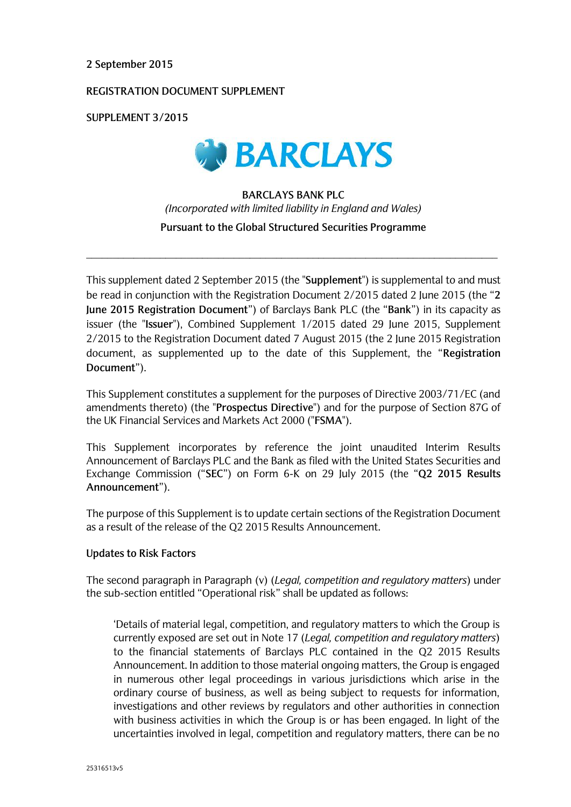## **2 September 2015**

# **REGISTRATION DOCUMENT SUPPLEMENT**

**SUPPLEMENT 3/2015**



# **BARCLAYS BANK PLC**  *(Incorporated with limited liability in England and Wales)* **Pursuant to the Global Structured Securities Programme**

\_\_\_\_\_\_\_\_\_\_\_\_\_\_\_\_\_\_\_\_\_\_\_\_\_\_\_\_\_\_\_\_\_\_\_\_\_\_\_\_\_\_\_\_\_\_\_\_\_\_\_\_\_\_\_\_\_\_\_\_\_\_\_\_\_\_\_\_\_\_\_\_\_\_\_\_\_\_

This supplement dated 2 September 2015 (the "**Supplement**") is supplemental to and must be read in conjunction with the Registration Document 2/2015 dated 2 June 2015 (the "**2 June 2015 Registration Document**") of Barclays Bank PLC (the "**Bank**") in its capacity as issuer (the "**Issuer**"), Combined Supplement 1/2015 dated 29 June 2015, Supplement 2/2015 to the Registration Document dated 7 August 2015 (the 2 June 2015 Registration document, as supplemented up to the date of this Supplement, the "**Registration Document**").

This Supplement constitutes a supplement for the purposes of Directive 2003/71/EC (and amendments thereto) (the "**Prospectus Directive**") and for the purpose of Section 87G of the UK Financial Services and Markets Act 2000 ("**FSMA**").

This Supplement incorporates by reference the joint unaudited Interim Results Announcement of Barclays PLC and the Bank as filed with the United States Securities and Exchange Commission ("**SEC**") on Form 6-K on 29 July 2015 (the "**Q2 2015 Results Announcement**").

The purpose of this Supplement is to update certain sections of the Registration Document as a result of the release of the Q2 2015 Results Announcement.

#### **Updates to Risk Factors**

The second paragraph in Paragraph (v) (*Legal, competition and regulatory matters*) under the sub-section entitled "Operational risk" shall be updated as follows:

'Details of material legal, competition, and regulatory matters to which the Group is currently exposed are set out in Note 17 (*Legal, competition and regulatory matters*) to the financial statements of Barclays PLC contained in the Q2 2015 Results Announcement. In addition to those material ongoing matters, the Group is engaged in numerous other legal proceedings in various jurisdictions which arise in the ordinary course of business, as well as being subject to requests for information, investigations and other reviews by regulators and other authorities in connection with business activities in which the Group is or has been engaged. In light of the uncertainties involved in legal, competition and regulatory matters, there can be no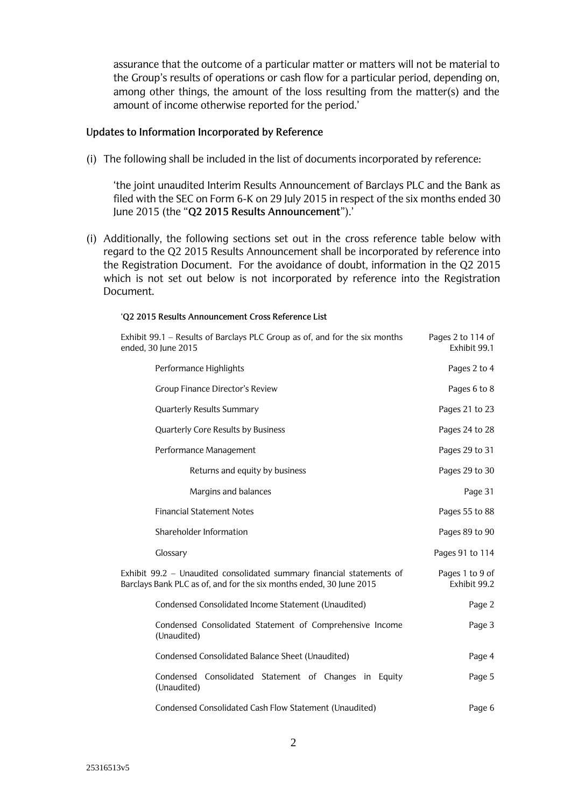assurance that the outcome of a particular matter or matters will not be material to the Group's results of operations or cash flow for a particular period, depending on, among other things, the amount of the loss resulting from the matter(s) and the amount of income otherwise reported for the period.'

### **Updates to Information Incorporated by Reference**

'**Q2 2015 Results Announcement Cross Reference List**

(i) The following shall be included in the list of documents incorporated by reference:

'the joint unaudited Interim Results Announcement of Barclays PLC and the Bank as filed with the SEC on Form 6-K on 29 July 2015 in respect of the six months ended 30 June 2015 (the "**Q2 2015 Results Announcement**").'

(i) Additionally, the following sections set out in the cross reference table below with regard to the Q2 2015 Results Announcement shall be incorporated by reference into the Registration Document. For the avoidance of doubt, information in the Q2 2015 which is not set out below is not incorporated by reference into the Registration Document.

| Exhibit 99.1 - Results of Barclays PLC Group as of, and for the six months<br>ended, 30 June 2015                                            | Pages 2 to 114 of<br>Exhibit 99.1 |
|----------------------------------------------------------------------------------------------------------------------------------------------|-----------------------------------|
| Performance Highlights                                                                                                                       | Pages 2 to 4                      |
| Group Finance Director's Review                                                                                                              | Pages 6 to 8                      |
| <b>Quarterly Results Summary</b>                                                                                                             | Pages 21 to 23                    |
| Quarterly Core Results by Business                                                                                                           | Pages 24 to 28                    |
| Performance Management                                                                                                                       | Pages 29 to 31                    |
| Returns and equity by business                                                                                                               | Pages 29 to 30                    |
| Margins and balances                                                                                                                         | Page 31                           |
| <b>Financial Statement Notes</b>                                                                                                             | Pages 55 to 88                    |
| Shareholder Information                                                                                                                      | Pages 89 to 90                    |
| Glossary                                                                                                                                     | Pages 91 to 114                   |
| Exhibit 99.2 - Unaudited consolidated summary financial statements of<br>Barclays Bank PLC as of, and for the six months ended, 30 June 2015 | Pages 1 to 9 of<br>Exhibit 99.2   |
| Condensed Consolidated Income Statement (Unaudited)                                                                                          | Page 2                            |
| Condensed Consolidated Statement of Comprehensive Income<br>(Unaudited)                                                                      | Page 3                            |
| Condensed Consolidated Balance Sheet (Unaudited)                                                                                             | Page 4                            |
| Condensed Consolidated Statement of Changes in Equity<br>(Unaudited)                                                                         | Page 5                            |
| Condensed Consolidated Cash Flow Statement (Unaudited)                                                                                       | Page 6                            |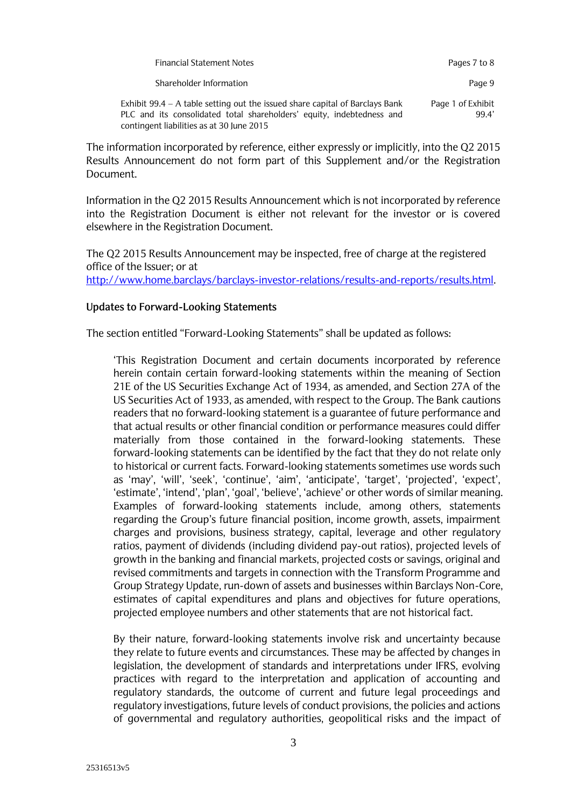| <b>Financial Statement Notes</b>                                                                                                                                                                   | Pages 7 to 8               |
|----------------------------------------------------------------------------------------------------------------------------------------------------------------------------------------------------|----------------------------|
| Shareholder Information                                                                                                                                                                            | Page 9                     |
| Exhibit 99.4 – A table setting out the issued share capital of Barclays Bank<br>PLC and its consolidated total shareholders' equity, indebtedness and<br>contingent liabilities as at 30 June 2015 | Page 1 of Exhibit<br>99.4' |

The information incorporated by reference, either expressly or implicitly, into the Q2 2015 Results Announcement do not form part of this Supplement and/or the Registration Document.

Information in the Q2 2015 Results Announcement which is not incorporated by reference into the Registration Document is either not relevant for the investor or is covered elsewhere in the Registration Document.

The Q2 2015 Results Announcement may be inspected, free of charge at the registered office of the Issuer; or at http://www.home.barclays/barclays-investor-relations/results-and-reports/results.html.

# **Updates to Forward-Looking Statements**

The section entitled "Forward-Looking Statements" shall be updated as follows:

'This Registration Document and certain documents incorporated by reference herein contain certain forward-looking statements within the meaning of Section 21E of the US Securities Exchange Act of 1934, as amended, and Section 27A of the US Securities Act of 1933, as amended, with respect to the Group. The Bank cautions readers that no forward-looking statement is a guarantee of future performance and that actual results or other financial condition or performance measures could differ materially from those contained in the forward-looking statements. These forward-looking statements can be identified by the fact that they do not relate only to historical or current facts. Forward-looking statements sometimes use words such as 'may', 'will', 'seek', 'continue', 'aim', 'anticipate', 'target', 'projected', 'expect', 'estimate', 'intend', 'plan', 'goal', 'believe', 'achieve' or other words of similar meaning. Examples of forward-looking statements include, among others, statements regarding the Group's future financial position, income growth, assets, impairment charges and provisions, business strategy, capital, leverage and other regulatory ratios, payment of dividends (including dividend pay-out ratios), projected levels of growth in the banking and financial markets, projected costs or savings, original and revised commitments and targets in connection with the Transform Programme and Group Strategy Update, run-down of assets and businesses within Barclays Non-Core, estimates of capital expenditures and plans and objectives for future operations, projected employee numbers and other statements that are not historical fact.

By their nature, forward-looking statements involve risk and uncertainty because they relate to future events and circumstances. These may be affected by changes in legislation, the development of standards and interpretations under IFRS, evolving practices with regard to the interpretation and application of accounting and regulatory standards, the outcome of current and future legal proceedings and regulatory investigations, future levels of conduct provisions, the policies and actions of governmental and regulatory authorities, geopolitical risks and the impact of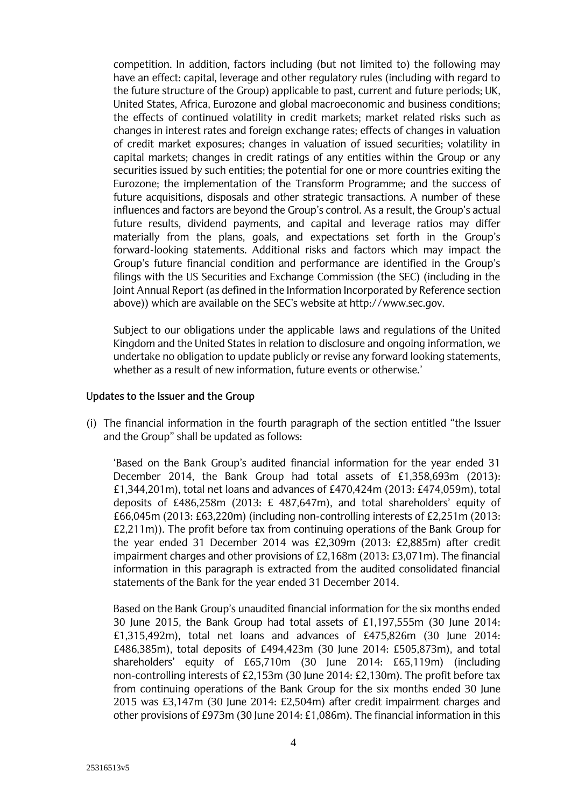competition. In addition, factors including (but not limited to) the following may have an effect: capital, leverage and other regulatory rules (including with regard to the future structure of the Group) applicable to past, current and future periods; UK, United States, Africa, Eurozone and global macroeconomic and business conditions; the effects of continued volatility in credit markets; market related risks such as changes in interest rates and foreign exchange rates; effects of changes in valuation of credit market exposures; changes in valuation of issued securities; volatility in capital markets; changes in credit ratings of any entities within the Group or any securities issued by such entities; the potential for one or more countries exiting the Eurozone; the implementation of the Transform Programme; and the success of future acquisitions, disposals and other strategic transactions. A number of these influences and factors are beyond the Group's control. As a result, the Group's actual future results, dividend payments, and capital and leverage ratios may differ materially from the plans, goals, and expectations set forth in the Group's forward-looking statements. Additional risks and factors which may impact the Group's future financial condition and performance are identified in the Group's filings with the US Securities and Exchange Commission (the SEC) (including in the Joint Annual Report (as defined in the Information Incorporated by Reference section above)) which are available on the SEC's website at http://www.sec.gov.

Subject to our obligations under the applicable laws and regulations of the United Kingdom and the United States in relation to disclosure and ongoing information, we undertake no obligation to update publicly or revise any forward looking statements, whether as a result of new information, future events or otherwise.'

#### **Updates to the Issuer and the Group**

(i) The financial information in the fourth paragraph of the section entitled "the Issuer and the Group" shall be updated as follows:

'Based on the Bank Group's audited financial information for the year ended 31 December 2014, the Bank Group had total assets of £1,358,693m (2013): £1,344,201m), total net loans and advances of £470,424m (2013: £474,059m), total deposits of £486,258m (2013: £ 487,647m), and total shareholders' equity of £66,045m (2013: £63,220m) (including non-controlling interests of £2,251m (2013: £2,211m)). The profit before tax from continuing operations of the Bank Group for the year ended 31 December 2014 was £2,309m (2013: £2,885m) after credit impairment charges and other provisions of £2,168m (2013: £3,071m). The financial information in this paragraph is extracted from the audited consolidated financial statements of the Bank for the year ended 31 December 2014.

Based on the Bank Group's unaudited financial information for the six months ended 30 June 2015, the Bank Group had total assets of £1,197,555m (30 June 2014: £1,315,492m), total net loans and advances of £475,826m (30 June 2014: £486,385m), total deposits of £494,423m (30 June 2014: £505,873m), and total shareholders' equity of £65,710m (30 June 2014: £65,119m) (including non-controlling interests of £2,153m (30 June 2014: £2,130m). The profit before tax from continuing operations of the Bank Group for the six months ended 30 June 2015 was £3,147m (30 June 2014: £2,504m) after credit impairment charges and other provisions of £973m (30 June 2014: £1,086m). The financial information in this